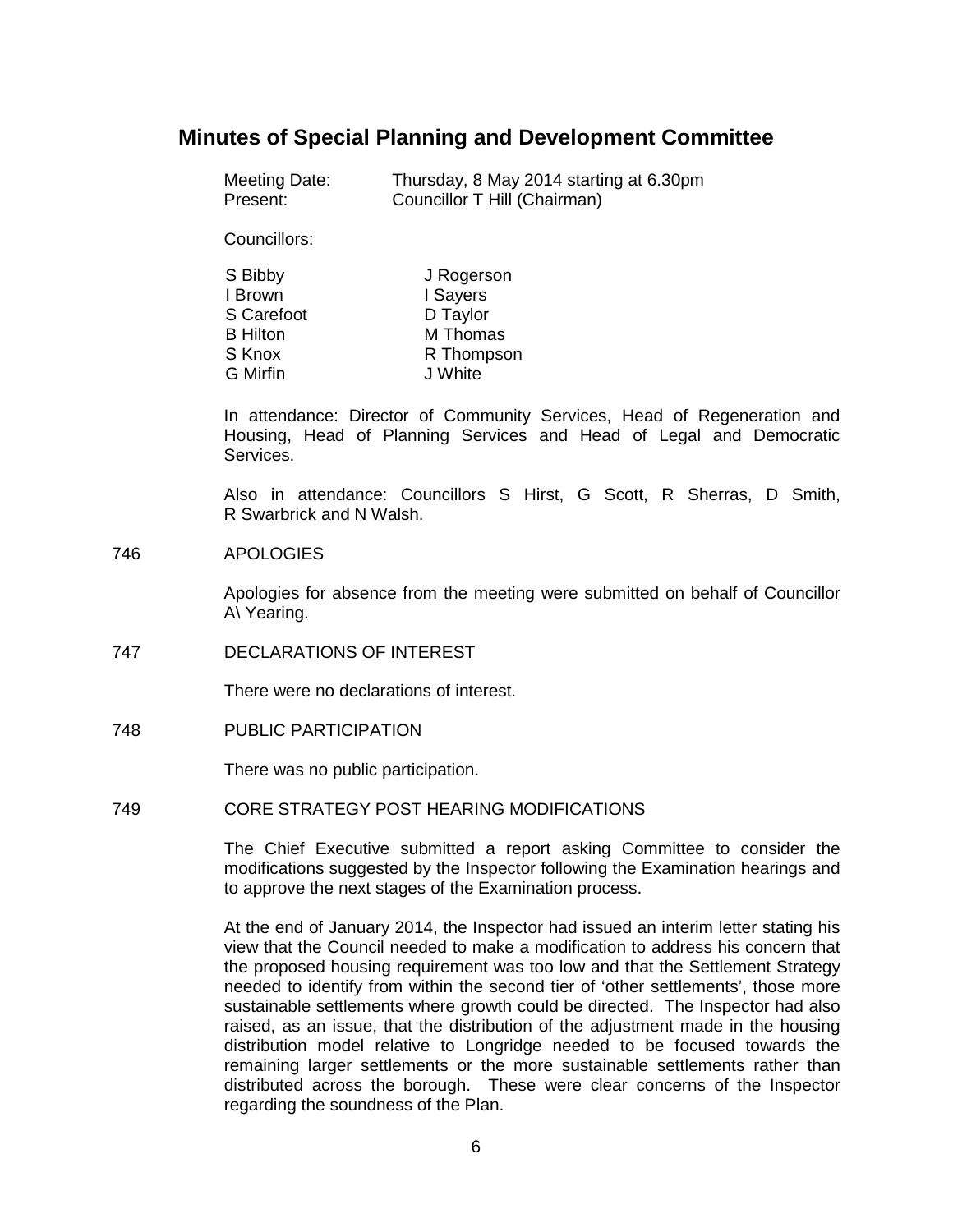# **Minutes of Special Planning and Development Committee**

| Meeting Date: | Thursday, 8 May 2014 starting at 6.30pm |
|---------------|-----------------------------------------|
| Present:      | Councillor T Hill (Chairman)            |

Councillors:

| J Rogerson |
|------------|
| I Sayers   |
| D Taylor   |
| M Thomas   |
| R Thompson |
| J White    |
|            |

In attendance: Director of Community Services, Head of Regeneration and Housing, Head of Planning Services and Head of Legal and Democratic Services.

Also in attendance: Councillors S Hirst, G Scott, R Sherras, D Smith, R Swarbrick and N Walsh.

#### 746 APOLOGIES

Apologies for absence from the meeting were submitted on behalf of Councillor A\ Yearing.

747 DECLARATIONS OF INTEREST

There were no declarations of interest.

748 PUBLIC PARTICIPATION

There was no public participation.

#### 749 CORE STRATEGY POST HEARING MODIFICATIONS

The Chief Executive submitted a report asking Committee to consider the modifications suggested by the Inspector following the Examination hearings and to approve the next stages of the Examination process.

At the end of January 2014, the Inspector had issued an interim letter stating his view that the Council needed to make a modification to address his concern that the proposed housing requirement was too low and that the Settlement Strategy needed to identify from within the second tier of 'other settlements', those more sustainable settlements where growth could be directed. The Inspector had also raised, as an issue, that the distribution of the adjustment made in the housing distribution model relative to Longridge needed to be focused towards the remaining larger settlements or the more sustainable settlements rather than distributed across the borough. These were clear concerns of the Inspector regarding the soundness of the Plan.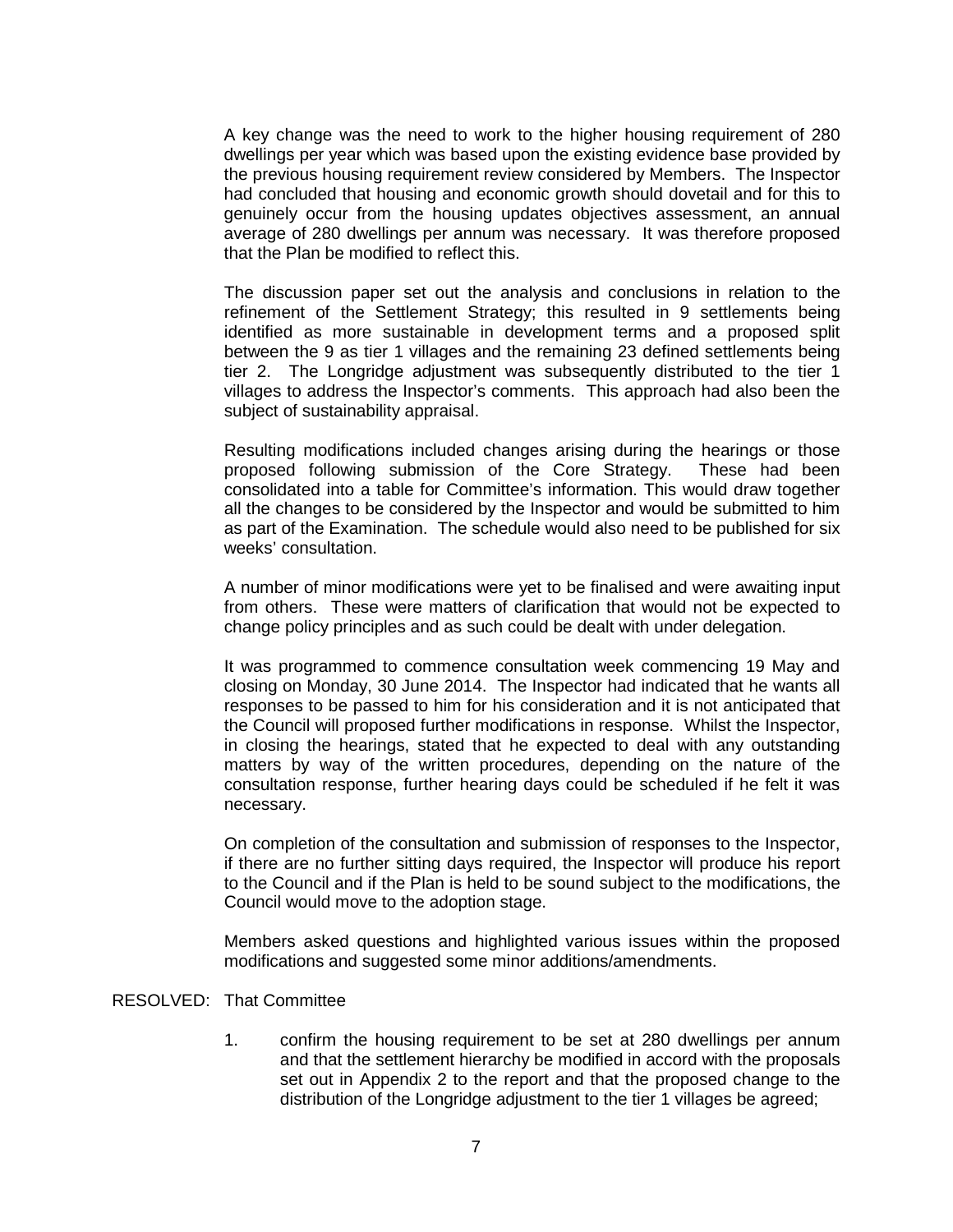A key change was the need to work to the higher housing requirement of 280 dwellings per year which was based upon the existing evidence base provided by the previous housing requirement review considered by Members. The Inspector had concluded that housing and economic growth should dovetail and for this to genuinely occur from the housing updates objectives assessment, an annual average of 280 dwellings per annum was necessary. It was therefore proposed that the Plan be modified to reflect this.

The discussion paper set out the analysis and conclusions in relation to the refinement of the Settlement Strategy; this resulted in 9 settlements being identified as more sustainable in development terms and a proposed split between the 9 as tier 1 villages and the remaining 23 defined settlements being tier 2. The Longridge adjustment was subsequently distributed to the tier 1 villages to address the Inspector's comments. This approach had also been the subject of sustainability appraisal.

Resulting modifications included changes arising during the hearings or those proposed following submission of the Core Strategy. These had been consolidated into a table for Committee's information. This would draw together all the changes to be considered by the Inspector and would be submitted to him as part of the Examination. The schedule would also need to be published for six weeks' consultation.

A number of minor modifications were yet to be finalised and were awaiting input from others. These were matters of clarification that would not be expected to change policy principles and as such could be dealt with under delegation.

It was programmed to commence consultation week commencing 19 May and closing on Monday, 30 June 2014. The Inspector had indicated that he wants all responses to be passed to him for his consideration and it is not anticipated that the Council will proposed further modifications in response. Whilst the Inspector, in closing the hearings, stated that he expected to deal with any outstanding matters by way of the written procedures, depending on the nature of the consultation response, further hearing days could be scheduled if he felt it was necessary.

On completion of the consultation and submission of responses to the Inspector, if there are no further sitting days required, the Inspector will produce his report to the Council and if the Plan is held to be sound subject to the modifications, the Council would move to the adoption stage.

Members asked questions and highlighted various issues within the proposed modifications and suggested some minor additions/amendments.

## RESOLVED: That Committee

1. confirm the housing requirement to be set at 280 dwellings per annum and that the settlement hierarchy be modified in accord with the proposals set out in Appendix 2 to the report and that the proposed change to the distribution of the Longridge adjustment to the tier 1 villages be agreed;